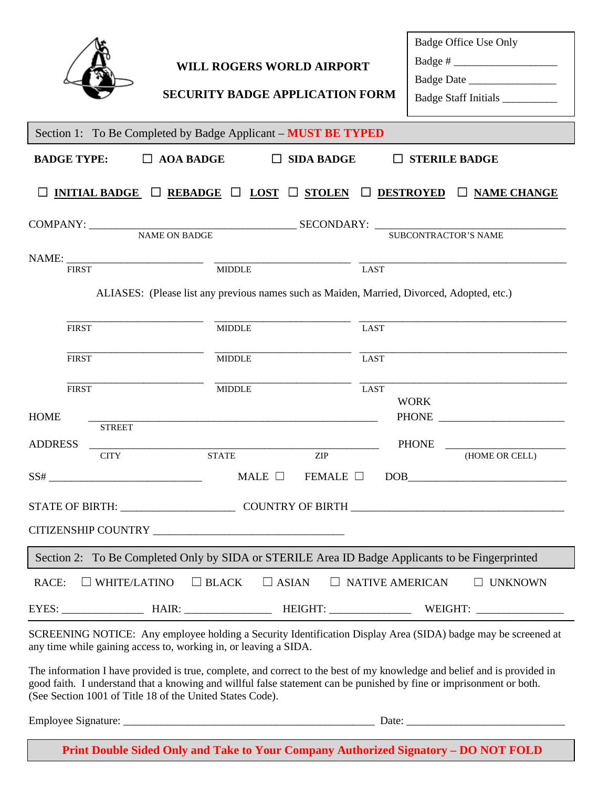|                                                                                                                                                                                                                                                                                                               | <b>WILL ROGERS WORLD AIRPORT</b><br><b>SECURITY BADGE APPLICATION FORM</b> |             | Badge Office Use Only<br>Badge # $\frac{1}{\sqrt{1-\frac{1}{2}} \cdot \frac{1}{2}}$<br>Badge Date<br>Badge Staff Initials ___________ |
|---------------------------------------------------------------------------------------------------------------------------------------------------------------------------------------------------------------------------------------------------------------------------------------------------------------|----------------------------------------------------------------------------|-------------|---------------------------------------------------------------------------------------------------------------------------------------|
| Section 1: To Be Completed by Badge Applicant - MUST BE TYPED                                                                                                                                                                                                                                                 |                                                                            |             |                                                                                                                                       |
| $\Box$ AOA BADGE<br><b>BADGE TYPE:</b><br>$\Box$ SIDA BADGE<br>$\Box$ STERILE BADGE                                                                                                                                                                                                                           |                                                                            |             |                                                                                                                                       |
| <b>INITIAL BADGE</b> $\Box$ <b>REBADGE</b> $\Box$ <b>LOST</b> $\Box$ <b>STOLEN</b> $\Box$ <b>DESTROYED</b> $\Box$ <b>NAME CHANGE</b>                                                                                                                                                                          |                                                                            |             |                                                                                                                                       |
|                                                                                                                                                                                                                                                                                                               |                                                                            |             |                                                                                                                                       |
|                                                                                                                                                                                                                                                                                                               |                                                                            |             | <b>SUBCONTRACTOR'S NAME</b>                                                                                                           |
| <b>FIRST</b>                                                                                                                                                                                                                                                                                                  | <b>MIDDLE</b>                                                              | <b>LAST</b> |                                                                                                                                       |
| ALIASES: (Please list any previous names such as Maiden, Married, Divorced, Adopted, etc.)                                                                                                                                                                                                                    |                                                                            |             |                                                                                                                                       |
|                                                                                                                                                                                                                                                                                                               |                                                                            |             |                                                                                                                                       |
| <b>FIRST</b>                                                                                                                                                                                                                                                                                                  | <b>MIDDLE</b>                                                              | <b>LAST</b> |                                                                                                                                       |
| <b>FIRST</b>                                                                                                                                                                                                                                                                                                  | <b>MIDDLE</b>                                                              | <b>LAST</b> |                                                                                                                                       |
| <b>FIRST</b><br><b>HOME</b>                                                                                                                                                                                                                                                                                   | <b>MIDDLE</b>                                                              | <b>LAST</b> | <b>WORK</b>                                                                                                                           |
| <b>STREET</b>                                                                                                                                                                                                                                                                                                 |                                                                            |             |                                                                                                                                       |
| <b>ADDRESS</b><br><b>CITY</b>                                                                                                                                                                                                                                                                                 | <b>STATE</b><br><b>ZIP</b>                                                 |             | <b>PHONE</b><br>(HOME OR CELL)                                                                                                        |
| $SS# \qquad \qquad \qquad 55%$                                                                                                                                                                                                                                                                                | MALE $\Box$                                                                |             | $FEMALE$ $\Box$ $DOB$                                                                                                                 |
|                                                                                                                                                                                                                                                                                                               |                                                                            |             |                                                                                                                                       |
|                                                                                                                                                                                                                                                                                                               |                                                                            |             |                                                                                                                                       |
| Section 2: To Be Completed Only by SIDA or STERILE Area ID Badge Applicants to be Fingerprinted                                                                                                                                                                                                               |                                                                            |             |                                                                                                                                       |
| $\Box$ BLACK<br>$\Box$ WHITE/LATINO<br>RACE:<br>$\Box$ ASIAN<br>$\Box$ NATIVE AMERICAN<br>$\Box$ UNKNOWN                                                                                                                                                                                                      |                                                                            |             |                                                                                                                                       |
|                                                                                                                                                                                                                                                                                                               |                                                                            |             |                                                                                                                                       |
| any time while gaining access to, working in, or leaving a SIDA.                                                                                                                                                                                                                                              |                                                                            |             | SCREENING NOTICE: Any employee holding a Security Identification Display Area (SIDA) badge may be screened at                         |
| The information I have provided is true, complete, and correct to the best of my knowledge and belief and is provided in<br>good faith. I understand that a knowing and willful false statement can be punished by fine or imprisonment or both.<br>(See Section 1001 of Title 18 of the United States Code). |                                                                            |             |                                                                                                                                       |
|                                                                                                                                                                                                                                                                                                               |                                                                            |             |                                                                                                                                       |
| Print Double Sided Only and Take to Your Company Authorized Signatory - DO NOT FOLD                                                                                                                                                                                                                           |                                                                            |             |                                                                                                                                       |